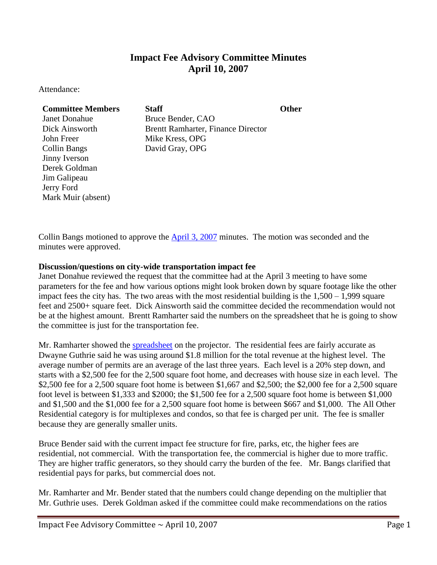## **Impact Fee Advisory Committee Minutes April 10, 2007**

Attendance:

## **Committee Members Staff Other Other** Janet Donahue Bruce Bender, CAO John Freer Mike Kress, OPG Collin Bangs David Gray, OPG Jinny Iverson Derek Goldman Jim Galipeau Jerry Ford Mark Muir (absent)

Dick Ainsworth Brentt Ramharter, Finance Director

Collin Bangs motioned to approve the [April 3, 2007](ftp://www.ci.missoula.mt.us/Documents/Mayor/IFAC/2007/070403Minutes.pdf) minutes. The motion was seconded and the minutes were approved.

## **Discussion/questions on city-wide transportation impact fee**

Janet Donahue reviewed the request that the committee had at the April 3 meeting to have some parameters for the fee and how various options might look broken down by square footage like the other impact fees the city has. The two areas with the most residential building is the 1,500 – 1,999 square feet and 2500+ square feet. Dick Ainsworth said the committee decided the recommendation would not be at the highest amount. Brentt Ramharter said the numbers on the spreadsheet that he is going to show the committee is just for the transportation fee.

Mr. Ramharter showed the [spreadsheet](ftp://www.ci.missoula.mt.us/Documents/Mayor/IFAC/2007/070410FeesbySqFt.pdf) on the projector. The residential fees are fairly accurate as Dwayne Guthrie said he was using around \$1.8 million for the total revenue at the highest level. The average number of permits are an average of the last three years. Each level is a 20% step down, and starts with a \$2,500 fee for the 2,500 square foot home, and decreases with house size in each level. The \$2,500 fee for a 2,500 square foot home is between \$1,667 and \$2,500; the \$2,000 fee for a 2,500 square foot level is between \$1,333 and \$2000; the \$1,500 fee for a 2,500 square foot home is between \$1,000 and \$1,500 and the \$1,000 fee for a 2,500 square foot home is between \$667 and \$1,000. The All Other Residential category is for multiplexes and condos, so that fee is charged per unit. The fee is smaller because they are generally smaller units.

Bruce Bender said with the current impact fee structure for fire, parks, etc, the higher fees are residential, not commercial. With the transportation fee, the commercial is higher due to more traffic. They are higher traffic generators, so they should carry the burden of the fee. Mr. Bangs clarified that residential pays for parks, but commercial does not.

Mr. Ramharter and Mr. Bender stated that the numbers could change depending on the multiplier that Mr. Guthrie uses. Derek Goldman asked if the committee could make recommendations on the ratios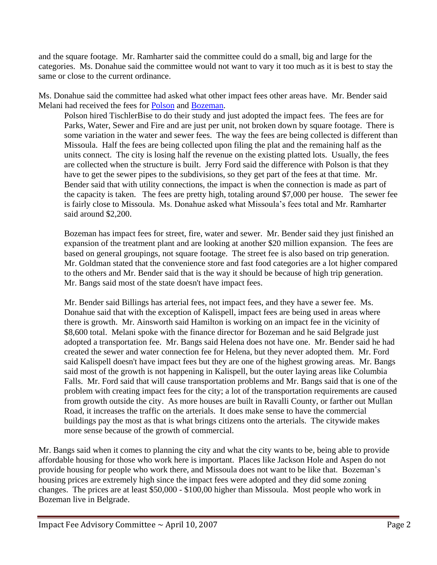and the square footage. Mr. Ramharter said the committee could do a small, big and large for the categories. Ms. Donahue said the committee would not want to vary it too much as it is best to stay the same or close to the current ordinance.

Ms. Donahue said the committee had asked what other impact fees other areas have. Mr. Bender said Melani had received the fees for [Polson](ftp://www.ci.missoula.mt.us/Documents/Mayor/IFAC/2007/070410Polson.pdf) and [Bozeman.](ftp://www.ci.missoula.mt.us/Documents/Mayor/IFAC/2007/070410Bozeman.pdf)

Polson hired TischlerBise to do their study and just adopted the impact fees. The fees are for Parks, Water, Sewer and Fire and are just per unit, not broken down by square footage. There is some variation in the water and sewer fees. The way the fees are being collected is different than Missoula. Half the fees are being collected upon filing the plat and the remaining half as the units connect. The city is losing half the revenue on the existing platted lots. Usually, the fees are collected when the structure is built. Jerry Ford said the difference with Polson is that they have to get the sewer pipes to the subdivisions, so they get part of the fees at that time. Mr. Bender said that with utility connections, the impact is when the connection is made as part of the capacity is taken. The fees are pretty high, totaling around \$7,000 per house. The sewer fee is fairly close to Missoula. Ms. Donahue asked what Missoula's fees total and Mr. Ramharter said around \$2,200.

Bozeman has impact fees for street, fire, water and sewer. Mr. Bender said they just finished an expansion of the treatment plant and are looking at another \$20 million expansion. The fees are based on general groupings, not square footage. The street fee is also based on trip generation. Mr. Goldman stated that the convenience store and fast food categories are a lot higher compared to the others and Mr. Bender said that is the way it should be because of high trip generation. Mr. Bangs said most of the state doesn't have impact fees.

Mr. Bender said Billings has arterial fees, not impact fees, and they have a sewer fee. Ms. Donahue said that with the exception of Kalispell, impact fees are being used in areas where there is growth. Mr. Ainsworth said Hamilton is working on an impact fee in the vicinity of \$8,600 total. Melani spoke with the finance director for Bozeman and he said Belgrade just adopted a transportation fee. Mr. Bangs said Helena does not have one. Mr. Bender said he had created the sewer and water connection fee for Helena, but they never adopted them. Mr. Ford said Kalispell doesn't have impact fees but they are one of the highest growing areas. Mr. Bangs said most of the growth is not happening in Kalispell, but the outer laying areas like Columbia Falls. Mr. Ford said that will cause transportation problems and Mr. Bangs said that is one of the problem with creating impact fees for the city; a lot of the transportation requirements are caused from growth outside the city. As more houses are built in Ravalli County, or farther out Mullan Road, it increases the traffic on the arterials. It does make sense to have the commercial buildings pay the most as that is what brings citizens onto the arterials. The citywide makes more sense because of the growth of commercial.

Mr. Bangs said when it comes to planning the city and what the city wants to be, being able to provide affordable housing for those who work here is important. Places like Jackson Hole and Aspen do not provide housing for people who work there, and Missoula does not want to be like that. Bozeman's housing prices are extremely high since the impact fees were adopted and they did some zoning changes. The prices are at least \$50,000 - \$100,00 higher than Missoula. Most people who work in Bozeman live in Belgrade.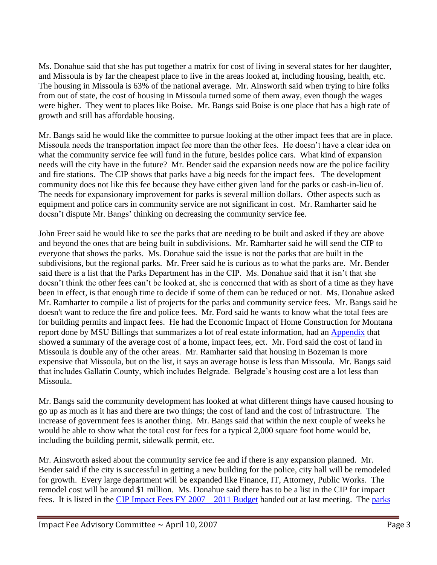Ms. Donahue said that she has put together a matrix for cost of living in several states for her daughter, and Missoula is by far the cheapest place to live in the areas looked at, including housing, health, etc. The housing in Missoula is 63% of the national average. Mr. Ainsworth said when trying to hire folks from out of state, the cost of housing in Missoula turned some of them away, even though the wages were higher. They went to places like Boise. Mr. Bangs said Boise is one place that has a high rate of growth and still has affordable housing.

Mr. Bangs said he would like the committee to pursue looking at the other impact fees that are in place. Missoula needs the transportation impact fee more than the other fees. He doesn't have a clear idea on what the community service fee will fund in the future, besides police cars. What kind of expansion needs will the city have in the future? Mr. Bender said the expansion needs now are the police facility and fire stations. The CIP shows that parks have a big needs for the impact fees. The development community does not like this fee because they have either given land for the parks or cash-in-lieu of. The needs for expansionary improvement for parks is several million dollars. Other aspects such as equipment and police cars in community service are not significant in cost. Mr. Ramharter said he doesn't dispute Mr. Bangs' thinking on decreasing the community service fee.

John Freer said he would like to see the parks that are needing to be built and asked if they are above and beyond the ones that are being built in subdivisions. Mr. Ramharter said he will send the CIP to everyone that shows the parks. Ms. Donahue said the issue is not the parks that are built in the subdivisions, but the regional parks. Mr. Freer said he is curious as to what the parks are. Mr. Bender said there is a list that the Parks Department has in the CIP. Ms. Donahue said that it isn't that she doesn't think the other fees can't be looked at, she is concerned that with as short of a time as they have been in effect, is that enough time to decide if some of them can be reduced or not. Ms. Donahue asked Mr. Ramharter to compile a list of projects for the parks and community service fees. Mr. Bangs said he doesn't want to reduce the fire and police fees. Mr. Ford said he wants to know what the total fees are for building permits and impact fees. He had the Economic Impact of Home Construction for Montana report done by MSU Billings that summarizes a lot of real estate information, had an **Appendix** that showed a summary of the average cost of a home, impact fees, ect. Mr. Ford said the cost of land in Missoula is double any of the other areas. Mr. Ramharter said that housing in Bozeman is more expensive that Missoula, but on the list, it says an average house is less than Missoula. Mr. Bangs said that includes Gallatin County, which includes Belgrade. Belgrade's housing cost are a lot less than Missoula.

Mr. Bangs said the community development has looked at what different things have caused housing to go up as much as it has and there are two things; the cost of land and the cost of infrastructure. The increase of government fees is another thing. Mr. Bangs said that within the next couple of weeks he would be able to show what the total cost for fees for a typical 2,000 square foot home would be, including the building permit, sidewalk permit, etc.

Mr. Ainsworth asked about the community service fee and if there is any expansion planned. Mr. Bender said if the city is successful in getting a new building for the police, city hall will be remodeled for growth. Every large department will be expanded like Finance, IT, Attorney, Public Works. The remodel cost will be around \$1 million. Ms. Donahue said there has to be a list in the CIP for impact fees. It is listed in the CIP [Impact Fees FY](ftp://www.ci.missoula.mt.us/Documents/Mayor/IFAC/2007/070403CIPImpactFees07to11.pdf) 2007 – 2011 Budget handed out at last meeting. The [parks](ftp://www.ci.missoula.mt.us/Documents/Mayor/IFAC/2007/070410ParksCIP.pdf)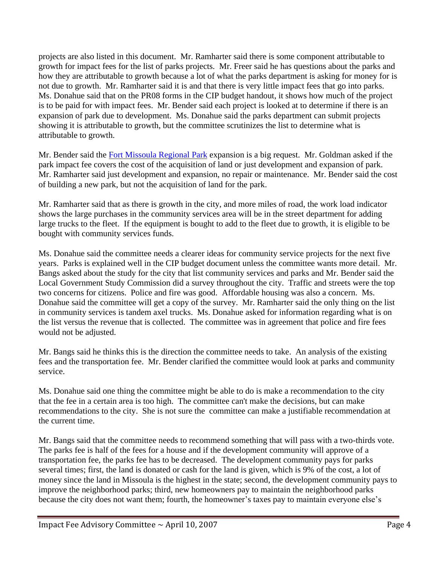projects are also listed in this document. Mr. Ramharter said there is some component attributable to growth for impact fees for the list of parks projects. Mr. Freer said he has questions about the parks and how they are attributable to growth because a lot of what the parks department is asking for money for is not due to growth. Mr. Ramharter said it is and that there is very little impact fees that go into parks. Ms. Donahue said that on the PR08 forms in the CIP budget handout, it shows how much of the project is to be paid for with impact fees. Mr. Bender said each project is looked at to determine if there is an expansion of park due to development. Ms. Donahue said the parks department can submit projects showing it is attributable to growth, but the committee scrutinizes the list to determine what is attributable to growth.

Mr. Bender said the [Fort Missoula Regional](ftp://www.ci.missoula.mt.us/Documents/Mayor/IFAC/2007/070410FtMsla.pdf) Park expansion is a big request. Mr. Goldman asked if the park impact fee covers the cost of the acquisition of land or just development and expansion of park. Mr. Ramharter said just development and expansion, no repair or maintenance. Mr. Bender said the cost of building a new park, but not the acquisition of land for the park.

Mr. Ramharter said that as there is growth in the city, and more miles of road, the work load indicator shows the large purchases in the community services area will be in the street department for adding large trucks to the fleet. If the equipment is bought to add to the fleet due to growth, it is eligible to be bought with community services funds.

Ms. Donahue said the committee needs a clearer ideas for community service projects for the next five years. Parks is explained well in the CIP budget document unless the committee wants more detail. Mr. Bangs asked about the study for the city that list community services and parks and Mr. Bender said the Local Government Study Commission did a survey throughout the city. Traffic and streets were the top two concerns for citizens. Police and fire was good. Affordable housing was also a concern. Ms. Donahue said the committee will get a copy of the survey. Mr. Ramharter said the only thing on the list in community services is tandem axel trucks. Ms. Donahue asked for information regarding what is on the list versus the revenue that is collected. The committee was in agreement that police and fire fees would not be adjusted.

Mr. Bangs said he thinks this is the direction the committee needs to take. An analysis of the existing fees and the transportation fee. Mr. Bender clarified the committee would look at parks and community service.

Ms. Donahue said one thing the committee might be able to do is make a recommendation to the city that the fee in a certain area is too high. The committee can't make the decisions, but can make recommendations to the city. She is not sure the committee can make a justifiable recommendation at the current time.

Mr. Bangs said that the committee needs to recommend something that will pass with a two-thirds vote. The parks fee is half of the fees for a house and if the development community will approve of a transportation fee, the parks fee has to be decreased. The development community pays for parks several times; first, the land is donated or cash for the land is given, which is 9% of the cost, a lot of money since the land in Missoula is the highest in the state; second, the development community pays to improve the neighborhood parks; third, new homeowners pay to maintain the neighborhood parks because the city does not want them; fourth, the homeowner's taxes pay to maintain everyone else's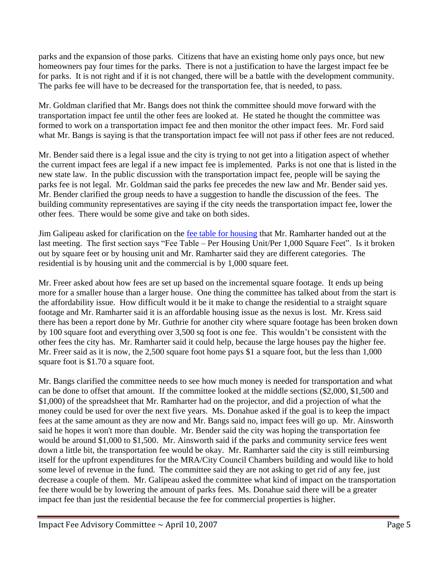parks and the expansion of those parks. Citizens that have an existing home only pays once, but new homeowners pay four times for the parks. There is not a justification to have the largest impact fee be for parks. It is not right and if it is not changed, there will be a battle with the development community. The parks fee will have to be decreased for the transportation fee, that is needed, to pass.

Mr. Goldman clarified that Mr. Bangs does not think the committee should move forward with the transportation impact fee until the other fees are looked at. He stated he thought the committee was formed to work on a transportation impact fee and then monitor the other impact fees. Mr. Ford said what Mr. Bangs is saying is that the transportation impact fee will not pass if other fees are not reduced.

Mr. Bender said there is a legal issue and the city is trying to not get into a litigation aspect of whether the current impact fees are legal if a new impact fee is implemented. Parks is not one that is listed in the new state law. In the public discussion with the transportation impact fee, people will be saying the parks fee is not legal. Mr. Goldman said the parks fee precedes the new law and Mr. Bender said yes. Mr. Bender clarified the group needs to have a suggestion to handle the discussion of the fees. The building community representatives are saying if the city needs the transportation impact fee, lower the other fees. There would be some give and take on both sides.

Jim Galipeau asked for clarification on the [fee table for housing](ftp://www.ci.missoula.mt.us/Documents/Mayor/IFAC/2007/070403FeeTable.pdf) that Mr. Ramharter handed out at the last meeting. The first section says "Fee Table – Per Housing Unit/Per 1,000 Square Feet". Is it broken out by square feet or by housing unit and Mr. Ramharter said they are different categories. The residential is by housing unit and the commercial is by 1,000 square feet.

Mr. Freer asked about how fees are set up based on the incremental square footage. It ends up being more for a smaller house than a larger house. One thing the committee has talked about from the start is the affordability issue. How difficult would it be it make to change the residential to a straight square footage and Mr. Ramharter said it is an affordable housing issue as the nexus is lost. Mr. Kress said there has been a report done by Mr. Guthrie for another city where square footage has been broken down by 100 square foot and everything over 3,500 sq foot is one fee. This wouldn't be consistent with the other fees the city has. Mr. Ramharter said it could help, because the large houses pay the higher fee. Mr. Freer said as it is now, the 2,500 square foot home pays \$1 a square foot, but the less than 1,000 square foot is \$1.70 a square foot.

Mr. Bangs clarified the committee needs to see how much money is needed for transportation and what can be done to offset that amount. If the committee looked at the middle sections (\$2,000, \$1,500 and \$1,000) of the spreadsheet that Mr. Ramharter had on the projector, and did a projection of what the money could be used for over the next five years. Ms. Donahue asked if the goal is to keep the impact fees at the same amount as they are now and Mr. Bangs said no, impact fees will go up. Mr. Ainsworth said he hopes it won't more than double. Mr. Bender said the city was hoping the transportation fee would be around \$1,000 to \$1,500. Mr. Ainsworth said if the parks and community service fees went down a little bit, the transportation fee would be okay. Mr. Ramharter said the city is still reimbursing itself for the upfront expenditures for the MRA/City Council Chambers building and would like to hold some level of revenue in the fund. The committee said they are not asking to get rid of any fee, just decrease a couple of them. Mr. Galipeau asked the committee what kind of impact on the transportation fee there would be by lowering the amount of parks fees. Ms. Donahue said there will be a greater impact fee than just the residential because the fee for commercial properties is higher.